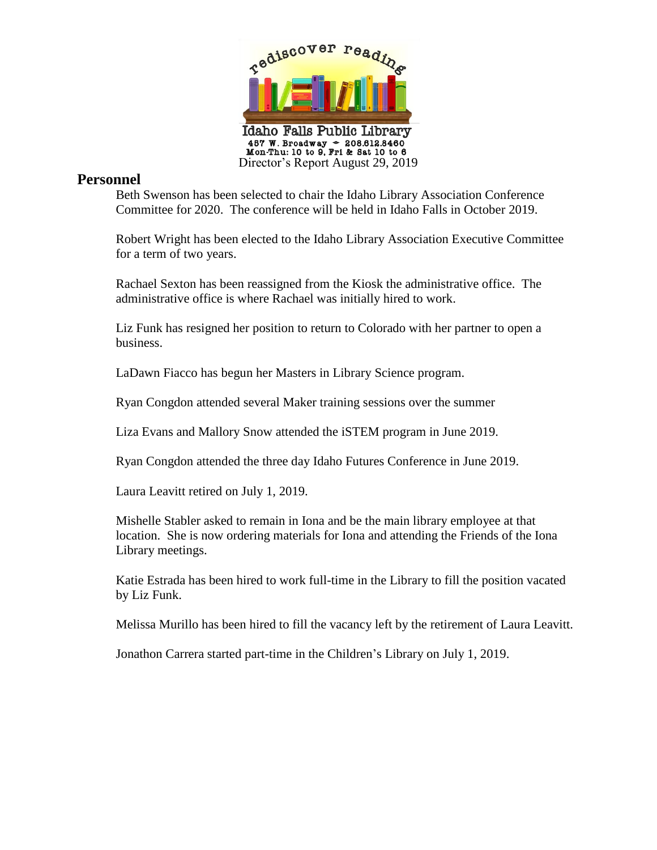

## **Personnel**

Beth Swenson has been selected to chair the Idaho Library Association Conference Committee for 2020. The conference will be held in Idaho Falls in October 2019.

Robert Wright has been elected to the Idaho Library Association Executive Committee for a term of two years.

Rachael Sexton has been reassigned from the Kiosk the administrative office. The administrative office is where Rachael was initially hired to work.

Liz Funk has resigned her position to return to Colorado with her partner to open a business.

LaDawn Fiacco has begun her Masters in Library Science program.

Ryan Congdon attended several Maker training sessions over the summer

Liza Evans and Mallory Snow attended the iSTEM program in June 2019.

Ryan Congdon attended the three day Idaho Futures Conference in June 2019.

Laura Leavitt retired on July 1, 2019.

Mishelle Stabler asked to remain in Iona and be the main library employee at that location. She is now ordering materials for Iona and attending the Friends of the Iona Library meetings.

Katie Estrada has been hired to work full-time in the Library to fill the position vacated by Liz Funk.

Melissa Murillo has been hired to fill the vacancy left by the retirement of Laura Leavitt.

Jonathon Carrera started part-time in the Children's Library on July 1, 2019.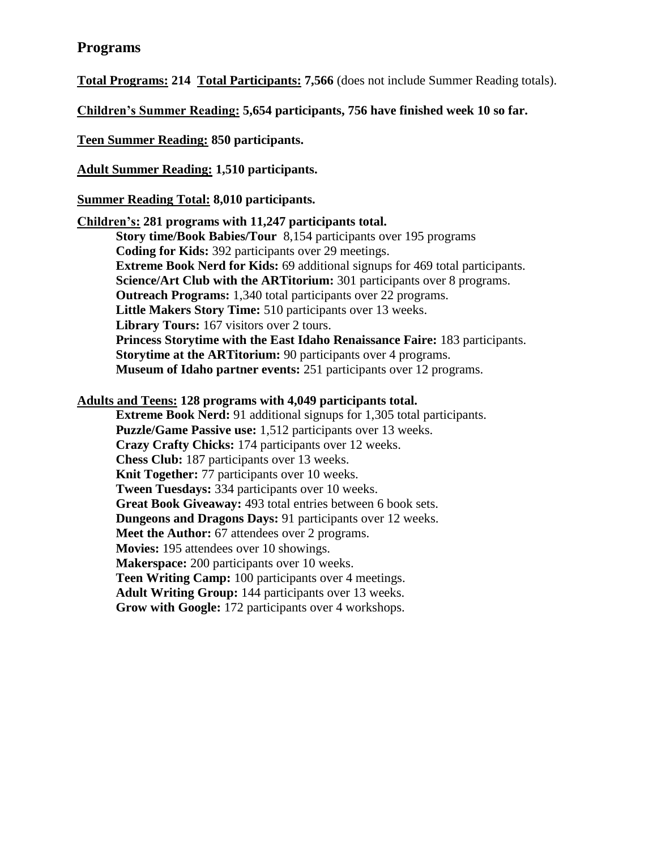## **Programs**

**Total Programs: 214 Total Participants: 7,566** (does not include Summer Reading totals).

**Children's Summer Reading: 5,654 participants, 756 have finished week 10 so far.**

**Teen Summer Reading: 850 participants.** 

**Adult Summer Reading: 1,510 participants.**

**Summer Reading Total: 8,010 participants.**

#### **Children's: 281 programs with 11,247 participants total.**

**Story time/Book Babies/Tour** 8,154 participants over 195 programs **Coding for Kids:** 392 participants over 29 meetings. **Extreme Book Nerd for Kids:** 69 additional signups for 469 total participants. **Science/Art Club with the ARTitorium:** 301 participants over 8 programs. **Outreach Programs:** 1,340 total participants over 22 programs. **Little Makers Story Time:** 510 participants over 13 weeks. **Library Tours:** 167 visitors over 2 tours. **Princess Storytime with the East Idaho Renaissance Faire:** 183 participants. **Storytime at the ARTitorium:** 90 participants over 4 programs. **Museum of Idaho partner events:** 251 participants over 12 programs.

### **Adults and Teens: 128 programs with 4,049 participants total.**

**Extreme Book Nerd:** 91 additional signups for 1,305 total participants. **Puzzle/Game Passive use:** 1,512 participants over 13 weeks. **Crazy Crafty Chicks:** 174 participants over 12 weeks. **Chess Club:** 187 participants over 13 weeks. **Knit Together:** 77 participants over 10 weeks. **Tween Tuesdays:** 334 participants over 10 weeks. **Great Book Giveaway:** 493 total entries between 6 book sets. **Dungeons and Dragons Days:** 91 participants over 12 weeks. **Meet the Author:** 67 attendees over 2 programs. **Movies:** 195 attendees over 10 showings. **Makerspace:** 200 participants over 10 weeks. **Teen Writing Camp:** 100 participants over 4 meetings. **Adult Writing Group:** 144 participants over 13 weeks. **Grow with Google:** 172 participants over 4 workshops.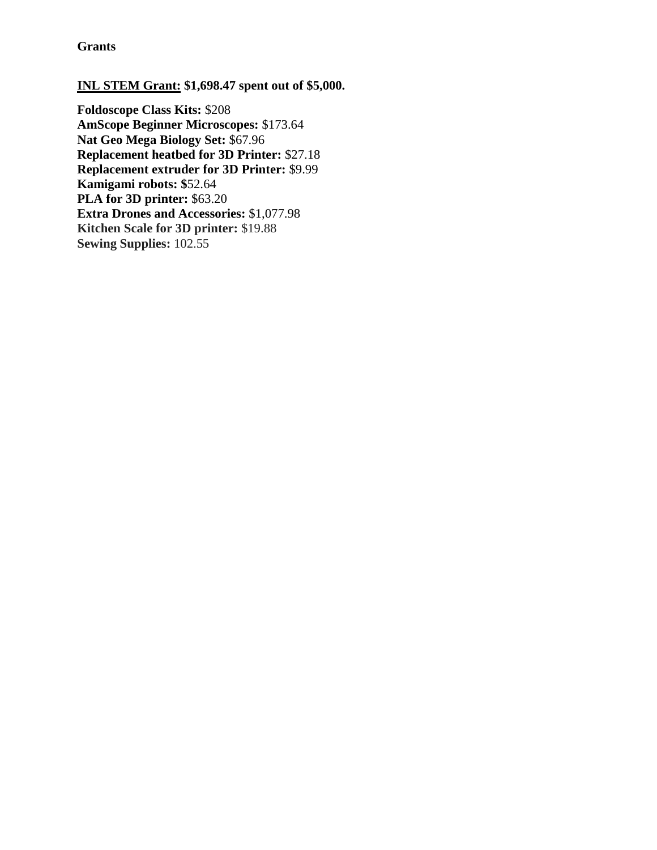**Grants**

#### **INL STEM Grant: \$1,698.47 spent out of \$5,000.**

**Foldoscope Class Kits:** \$208 **AmScope Beginner Microscopes:** \$173.64 **Nat Geo Mega Biology Set:** \$67.96 **Replacement heatbed for 3D Printer:** \$27.18 **Replacement extruder for 3D Printer:** \$9.99 **Kamigami robots: \$**52.64 **PLA for 3D printer:** \$63.20 **Extra Drones and Accessories:** \$1,077.98 **Kitchen Scale for 3D printer:** \$19.88 **Sewing Supplies:** 102.55